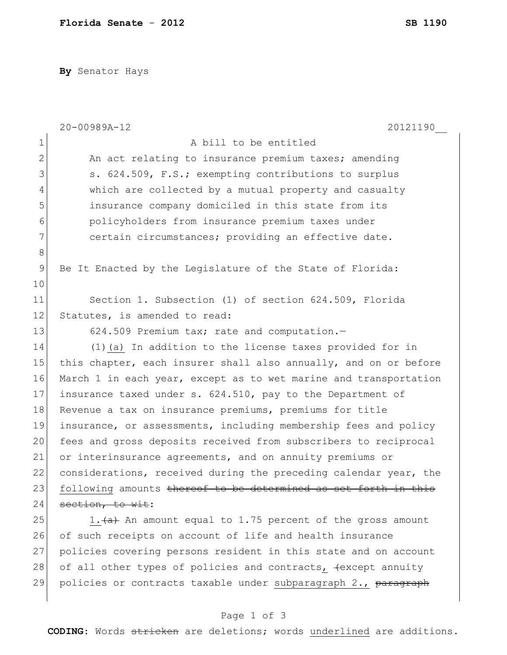**By** Senator Hays

|               | 20-00989A-12<br>20121190                                         |
|---------------|------------------------------------------------------------------|
| $\mathbf 1$   | A bill to be entitled                                            |
| $\mathbf{2}$  | An act relating to insurance premium taxes; amending             |
| 3             | s. 624.509, F.S.; exempting contributions to surplus             |
| 4             | which are collected by a mutual property and casualty            |
| 5             | insurance company domiciled in this state from its               |
| 6             | policyholders from insurance premium taxes under                 |
| 7             | certain circumstances; providing an effective date.              |
| $\,8\,$       |                                                                  |
| $\mathcal{G}$ | Be It Enacted by the Legislature of the State of Florida:        |
| 10            |                                                                  |
| 11            | Section 1. Subsection (1) of section 624.509, Florida            |
| 12            | Statutes, is amended to read:                                    |
| 13            | 624.509 Premium tax; rate and computation.-                      |
| 14            | (1) (a) In addition to the license taxes provided for in         |
| 15            | this chapter, each insurer shall also annually, and on or before |
| 16            | March 1 in each year, except as to wet marine and transportation |
| 17            | insurance taxed under s. 624.510, pay to the Department of       |
| 18            | Revenue a tax on insurance premiums, premiums for title          |
| 19            | insurance, or assessments, including membership fees and policy  |
| 20            | fees and gross deposits received from subscribers to reciprocal  |
| 21            | or interinsurance agreements, and on annuity premiums or         |
| 22            | considerations, received during the preceding calendar year, the |
| 23            | following amounts thereof to be determined as set forth in this  |
| 24            | section, to wit:                                                 |
| 25            | 1. (a) An amount equal to 1.75 percent of the gross amount       |
| 26            | of such receipts on account of life and health insurance         |
| 27            | policies covering persons resident in this state and on account  |
| 28            | of all other types of policies and contracts, +except annuity    |
| 29            | policies or contracts taxable under subparagraph 2., paragraph   |

## Page 1 of 3

**CODING**: Words stricken are deletions; words underlined are additions.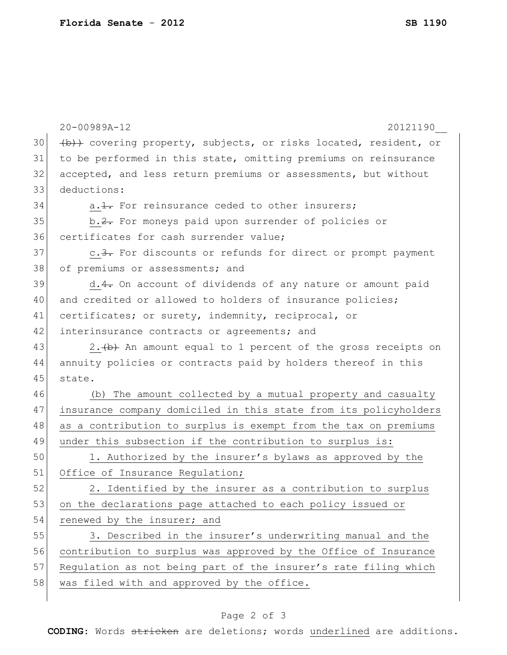|    | $20 - 00989A - 12$<br>20121190                                             |
|----|----------------------------------------------------------------------------|
| 30 | (b)) covering property, subjects, or risks located, resident, or           |
| 31 | to be performed in this state, omitting premiums on reinsurance            |
| 32 | accepted, and less return premiums or assessments, but without             |
| 33 | deductions:                                                                |
| 34 | a. 1. For reinsurance ceded to other insurers;                             |
| 35 | b.2. For moneys paid upon surrender of policies or                         |
| 36 | certificates for cash surrender value;                                     |
| 37 | c.3. For discounts or refunds for direct or prompt payment                 |
| 38 | of premiums or assessments; and                                            |
| 39 | d.4. On account of dividends of any nature or amount paid                  |
| 40 | and credited or allowed to holders of insurance policies;                  |
| 41 | certificates; or surety, indemnity, reciprocal, or                         |
| 42 | interinsurance contracts or agreements; and                                |
| 43 | 2. $\leftrightarrow$ An amount equal to 1 percent of the gross receipts on |
| 44 | annuity policies or contracts paid by holders thereof in this              |
| 45 | state.                                                                     |
| 46 | (b) The amount collected by a mutual property and casualty                 |
| 47 | insurance company domiciled in this state from its policyholders           |
| 48 | as a contribution to surplus is exempt from the tax on premiums            |
| 49 | under this subsection if the contribution to surplus is:                   |
| 50 | 1. Authorized by the insurer's bylaws as approved by the                   |
| 51 | Office of Insurance Regulation;                                            |
| 52 | 2. Identified by the insurer as a contribution to surplus                  |
| 53 | on the declarations page attached to each policy issued or                 |
| 54 | renewed by the insurer; and                                                |
| 55 | 3. Described in the insurer's underwriting manual and the                  |
| 56 | contribution to surplus was approved by the Office of Insurance            |
| 57 | Regulation as not being part of the insurer's rate filing which            |
| 58 | was filed with and approved by the office.                                 |
|    |                                                                            |

## Page 2 of 3

**CODING**: Words stricken are deletions; words underlined are additions.